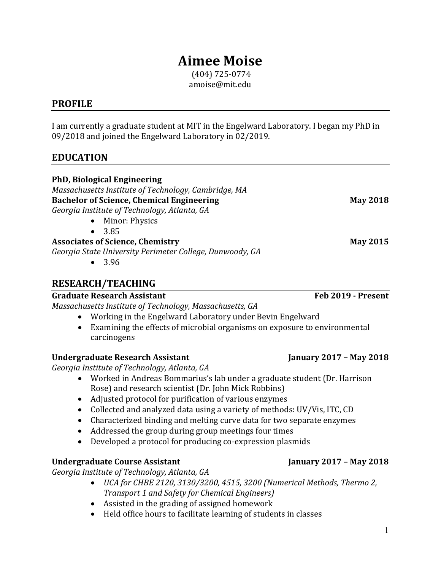# **Aimee Moise**

(404) 725-0774 amoise@mit.edu

#### **PROFILE**

I am currently a graduate student at MIT in the Engelward Laboratory. I began my PhD in 09/2018 and joined the Engelward Laboratory in 02/2019.

### **EDUCATION**

| <b>PhD, Biological Engineering</b><br>Massachusetts Institute of Technology, Cambridge, MA<br><b>Bachelor of Science, Chemical Engineering</b><br>Georgia Institute of Technology, Atlanta, GA<br>• Minor: Physics<br>$\bullet$ 3.85 | <b>May 2018</b>    |
|--------------------------------------------------------------------------------------------------------------------------------------------------------------------------------------------------------------------------------------|--------------------|
| <b>Associates of Science, Chemistry</b><br>Georgia State University Perimeter College, Dunwoody, GA<br>$\bullet$ 3.96                                                                                                                | <b>May 2015</b>    |
| <b>RESEARCH/TEACHING</b>                                                                                                                                                                                                             |                    |
| <b>Graduate Research Assistant</b>                                                                                                                                                                                                   | Feb 2019 - Present |
| Massachusetts Institute of Technology, Massachusetts, GA                                                                                                                                                                             |                    |
| Working in the Engelward Laboratory under Bevin Engelward                                                                                                                                                                            |                    |
| Examining the effects of microbial organisms on exposure to environmental<br>$\bullet$<br>carcinogens                                                                                                                                |                    |

#### **Undergraduate Research Assistant January 2017 – May 2018**

*Georgia Institute of Technology, Atlanta, GA*

- Worked in Andreas Bommarius's lab under a graduate student (Dr. Harrison Rose) and research scientist (Dr. John Mick Robbins)
- Adjusted protocol for purification of various enzymes
- Collected and analyzed data using a variety of methods: UV/Vis, ITC, CD
- Characterized binding and melting curve data for two separate enzymes
- Addressed the group during group meetings four times
- Developed a protocol for producing co-expression plasmids

#### **Undergraduate Course Assistant January 2017 – May 2018**

*Georgia Institute of Technology, Atlanta, GA*

- *UCA for CHBE 2120, 3130/3200, 4515, 3200 (Numerical Methods, Thermo 2, Transport 1 and Safety for Chemical Engineers)*
- Assisted in the grading of assigned homework
- Held office hours to facilitate learning of students in classes